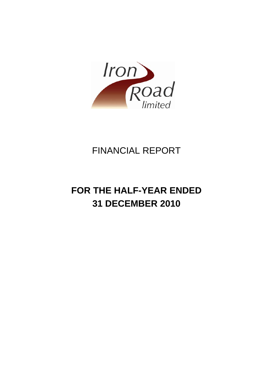

## FINANCIAL REPORT

# **FOR THE HALF-YEAR ENDED 31 DECEMBER 2010**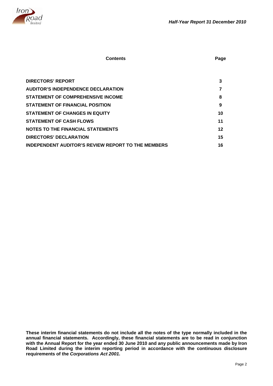

| <b>DIRECTORS' REPORT</b>                                  | 3  |
|-----------------------------------------------------------|----|
| <b>AUDITOR'S INDEPENDENCE DECLARATION</b>                 |    |
| <b>STATEMENT OF COMPREHENSIVE INCOME</b>                  | 8  |
| <b>STATEMENT OF FINANCIAL POSITION</b>                    | 9  |
| <b>STATEMENT OF CHANGES IN EQUITY</b>                     | 10 |
| <b>STATEMENT OF CASH FLOWS</b>                            | 11 |
| <b>NOTES TO THE FINANCIAL STATEMENTS</b>                  | 12 |
| DIRECTORS' DECLARATION                                    | 15 |
| <b>INDEPENDENT AUDITOR'S REVIEW REPORT TO THE MEMBERS</b> | 16 |

**Contents** Page **Page 2011** 

**These interim financial statements do not include all the notes of the type normally included in the annual financial statements. Accordingly, these financial statements are to be read in conjunction with the Annual Report for the year ended 30 June 2010 and any public announcements made by Iron Road Limited during the interim reporting period in accordance with the continuous disclosure requirements of the** *Corporations Act 2001***.**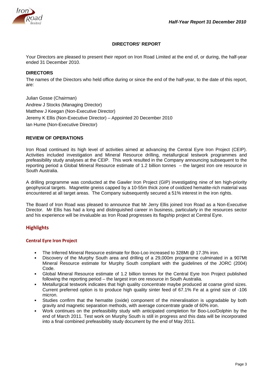

## **DIRECTORS' REPORT**

Your Directors are pleased to present their report on Iron Road Limited at the end of, or during, the half-year ended 31 December 2010.

## **DIRECTORS**

The names of the Directors who held office during or since the end of the half-year, to the date of this report, are:

Julian Gosse (Chairman) Andrew J Stocks (Managing Director) Matthew J Keegan (Non-Executive Director) Jeremy K Ellis (Non-Executive Director) – Appointed 20 December 2010 Ian Hume (Non-Executive Director)

## **REVIEW OF OPERATIONS**

Iron Road continued its high level of activities aimed at advancing the Central Eyre Iron Project (CEIP). Activities included investigation and Mineral Resource drilling, metallurgical testwork programmes and prefeasibility study analyses at the CEIP. This work resulted in the Company announcing subsequent to the reporting period a Global Mineral Resource estimate of 1.2 billion tonnes – the largest iron ore resource in South Australia.

A drilling programme was conducted at the Gawler Iron Project (GIP) investigating nine of ten high-priority geophysical targets. Magnetite gneiss capped by a 10-55m thick zone of oxidized hematite-rich material was encountered at all target areas. The Company subsequently secured a 51% interest in the iron rights.

The Board of Iron Road was pleased to announce that Mr Jerry Ellis joined Iron Road as a Non-Executive Director. Mr Ellis has had a long and distinguished career in business, particularly in the resources sector and his experience will be invaluable as Iron Road progresses its flagship project at Central Eyre.

## **Highlights**

#### **Central Eyre Iron Project**

- The Inferred Mineral Resource estimate for Boo-Loo increased to 328Mt @ 17.3% iron.
- Discovery of the Murphy South area and drilling of a 29,000m programme culminated in a 907Mt Mineral Resource estimate for Murphy South compliant with the guidelines of the JORC (2004) Code.
- Global Mineral Resource estimate of 1.2 billion tonnes for the Central Eyre Iron Project published following the reporting period – the largest iron ore resource in South Australia.
- Metallurgical testwork indicates that high quality concentrate maybe produced at coarse grind sizes. Current preferred option is to produce high quality sinter feed of 67.1% Fe at a grind size of -106 micron.
- Studies confirm that the hematite (oxide) component of the mineralisation is upgradable by both gravity and magnetic separation methods, with average concentrate grade of 60% iron.
- Work continues on the prefeasibility study with anticipated completion for Boo-Loo/Dolphin by the end of March 2011. Test work on Murphy South is still in progress and this data will be incorporated into a final combined prefeasibility study document by the end of May 2011.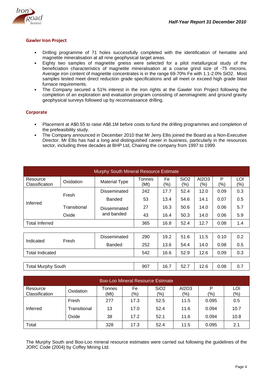

## **Gawler Iron Project**

- Drilling programme of 71 holes successfully completed with the identification of hematite and magnetite mineralisation at all nine geophysical target areas.
- Eighty two samples of magnetite gneiss were selected for a pilot metallurgical study of the beneficiation characteristics of magnetite mineralisation at a coarse grind size of -75 microns. Average iron content of magnetite concentrates is in the range 69-70% Fe with 1.1-2.0% SiO2. Most samples tested meet direct reduction grade specifications and all meet or exceed high grade blast furnace requirements.
- The Company secured a 51% interest in the iron rights at the Gawler Iron Project following the completion of an exploration and evaluation program consisting of aeromagnetic and ground gravity geophysical surveys followed up by reconnaissance drilling.

## **Corporate**

- Placement at A\$0.55 to raise A\$8.1M before costs to fund the drilling programmes and completion of the prefeasibility study.
- The Company announced in December 2010 that Mr Jerry Ellis joined the Board as a Non-Executive Director. Mr Ellis has had a long and distinguished career in business, particularly in the resources sector, including three decades at BHP Ltd, Chairing the company from 1997 to 1999.

| Murphy South Mineral Resource Estimate |              |                      |                |               |                         |              |          |            |
|----------------------------------------|--------------|----------------------|----------------|---------------|-------------------------|--------------|----------|------------|
| Resource<br>Classification             | Oxidation    | <b>Material Type</b> | Tonnes<br>(Mt) | Fe<br>$(\% )$ | SiO <sub>2</sub><br>(%) | AI2O3<br>(%) | P<br>(%) | LOI<br>(%) |
|                                        | Fresh        | Disseminated         | 242            | 17.7          | 52.4                    | 12.0         | 0.09     | 0.3        |
|                                        |              | Banded               | 53             | 13.4          | 54.6                    | 14.1         | 0.07     | 0.5        |
| Inferred                               | Transitional | Disseminated         | 27             | 16.3          | 50.6                    | 14.0         | 0.06     | 5.7        |
| Oxide                                  | and banded   | 43                   | 16.4           | 50.3          | 14.0                    | 0.06         | 5.9      |            |
| <b>Total Inferred</b>                  |              | 365                  | 16.8           | 52.4          | 12.7                    | 0.08         | 1.4      |            |
|                                        |              |                      |                |               |                         |              |          |            |
| Indicated                              | Fresh        | Disseminated         | 290            | 19.2          | 51.6                    | 11.5         | 0.10     | 0.2        |
|                                        |              | <b>Banded</b>        | 252            | 13.6          | 54.4                    | 14.0         | 0.08     | 0.5        |
| <b>Total Indicated</b>                 |              |                      | 542            | 16.6          | 52.9                    | 12.6         | 0.09     | 0.3        |
|                                        |              |                      |                |               |                         |              |          |            |
| <b>Total Murphy South</b>              |              |                      | 907            | 16.7          | 52.7                    | 12.6         | 0.08     | 0.7        |

|                            |              |                |           | <b>Boo-Loo Mineral Resource Estimate</b> |                        |          |                |
|----------------------------|--------------|----------------|-----------|------------------------------------------|------------------------|----------|----------------|
| Resource<br>Classification | Oxidation    | Tonnes<br>(Mt) | Fe<br>(%) | SiO <sub>2</sub><br>$\frac{1}{2}$        | AI2O3<br>$\frac{1}{2}$ | P<br>(%) | LOI<br>$(\% )$ |
|                            | Fresh        | 277            | 17.3      | 52.5                                     | 11.5                   | 0.095    | 0.5            |
| Inferred                   | Transitional | 13             | 17.0      | 52.4                                     | 11.6                   | 0.094    | 10.7           |
|                            | Oxide        | 38             | 17.2      | 52.1                                     | 11.6                   | 0.094    | 10.8           |
| Total                      |              | 328            | 17.3      | 52.4                                     | 11.5                   | 0.095    | 2.1            |

The Murphy South and Boo-Loo mineral resource estimates were carried out following the guidelines of the JORC Code (2004) by Coffey Mining Ltd.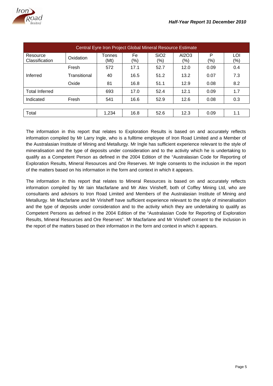

|                            |              | Central Eyre Iron Project Global Mineral Resource Estimate |           |                         |              |          |            |
|----------------------------|--------------|------------------------------------------------------------|-----------|-------------------------|--------------|----------|------------|
| Resource<br>Classification | Oxidation    | Tonnes<br>(Mt)                                             | Fe<br>(%) | SiO <sub>2</sub><br>(%) | AI2O3<br>(%) | P<br>(%) | LOI<br>(%) |
|                            | Fresh        | 572                                                        | 17.1      | 52.7                    | 12.0         | 0.09     | 0.4        |
| Inferred                   | Transitional | 40                                                         | 16.5      | 51.2                    | 13.2         | 0.07     | 7.3        |
|                            | Oxide        | 81                                                         | 16.8      | 51.1                    | 12.9         | 0.08     | 8.2        |
| <b>Total Inferred</b>      |              | 693                                                        | 17.0      | 52.4                    | 12.1         | 0.09     | 1.7        |
| Indicated                  | Fresh        | 541                                                        | 16.6      | 52.9                    | 12.6         | 0.08     | 0.3        |
|                            |              |                                                            |           |                         |              |          |            |
| Total                      |              | 1,234                                                      | 16.8      | 52.6                    | 12.3         | 0.09     | 1.1        |

The information in this report that relates to Exploration Results is based on and accurately reflects information compiled by Mr Larry Ingle, who is a fulltime employee of Iron Road Limited and a Member of the Australasian Institute of Mining and Metallurgy. Mr Ingle has sufficient experience relevant to the style of mineralisation and the type of deposits under consideration and to the activity which he is undertaking to qualify as a Competent Person as defined in the 2004 Edition of the "Australasian Code for Reporting of Exploration Results, Mineral Resources and Ore Reserves. Mr Ingle consents to the inclusion in the report of the matters based on his information in the form and context in which it appears.

The information in this report that relates to Mineral Resources is based on and accurately reflects information compiled by Mr Iain Macfarlane and Mr Alex Virisheff, both of Coffey Mining Ltd, who are consultants and advisors to Iron Road Limited and Members of the Australasian Institute of Mining and Metallurgy. Mr Macfarlane and Mr Virisheff have sufficient experience relevant to the style of mineralisation and the type of deposits under consideration and to the activity which they are undertaking to qualify as Competent Persons as defined in the 2004 Edition of the "Australasian Code for Reporting of Exploration Results, Mineral Resources and Ore Reserves". Mr Macfarlane and Mr Virisheff consent to the inclusion in the report of the matters based on their information in the form and context in which it appears.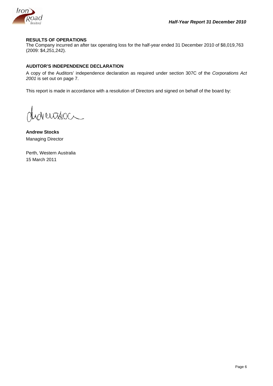

## **RESULTS OF OPERATIONS**

The Company incurred an after tax operating loss for the half-year ended 31 December 2010 of \$8,019,763 (2009: \$4,251,242).

## **AUDITOR'S INDEPENDENCE DECLARATION**

A copy of the Auditors' independence declaration as required under section 307C of the *Corporations Act 2001* is set out on page 7.

This report is made in accordance with a resolution of Directors and signed on behalf of the board by:

de ertidoc

**Andrew Stocks**  Managing Director

Perth, Western Australia 15 March 2011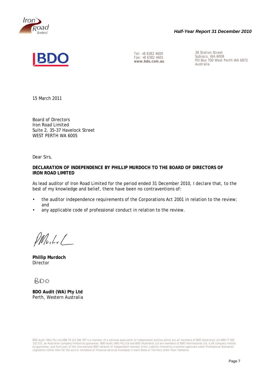

## *Half-Year Report 31 December 2010*



Fax: +8 6382 4601<br>www.bdo.com.au

Tel: +8 6382 4600<br>
Fax: +8 6382 4601 <br>
Subiaco, WA 6008 **www.bdo.com.au** PO Box 700 West Perth WA 6872 Australia

15 March 2011

Board of Directors Iron Road Limited Suite 2, 35-37 Havelock Street WEST PERTH WA 6005

Dear Sirs,

## **DECLARATION OF INDEPENDENCE BY PHILLIP MURDOCH TO THE BOARD OF DIRECTORS OF IRON ROAD LIMITED**

As lead auditor of Iron Road Limited for the period ended 31 December 2010, I declare that, to the best of my knowledge and belief, there have been no contraventions of:

- the auditor independence requirements of the Corporations Act 2001 in relation to the review; and
- any applicable code of professional conduct in relation to the review.

 $Mb.l.l.$ 

**Phillip Murdoch Director** 

**BDO** 

**BDO Audit (WA) Pty Ltd**  Perth, Western Australia

BDO Audit (WA) Pty Ltd ABN 79 112 284 787 is a member of a national association of independent entities which are all members of BDO (Australia) Ltd ABN 77 050 110 275, an Australian company limited by guarantee. BDO Audit (WA) Pty Ltd and BDO (Australia) Ltd are members of BDO International Ltd, a UK company limited by guarantee, and form part of the international BDO network of independent member firms. Liability limited by a scheme approved under Professional Standards<br>Legislation (other than for the acts or omissions of financial s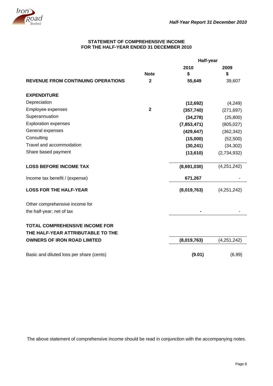

## **STATEMENT OF COMPREHENSIVE INCOME FOR THE HALF-YEAR ENDED 31 DECEMBER 2010**

|                                           |                | Half-year   |             |  |
|-------------------------------------------|----------------|-------------|-------------|--|
|                                           |                | 2010        | 2009        |  |
|                                           | <b>Note</b>    | \$          | \$          |  |
| <b>REVENUE FROM CONTINUING OPERATIONS</b> | $\mathbf 2$    | 55,649      | 39,607      |  |
| <b>EXPENDITURE</b>                        |                |             |             |  |
| Depreciation                              |                | (12, 692)   | (4,249)     |  |
| Employee expenses                         | $\overline{2}$ | (357, 740)  | (271, 697)  |  |
| Superannuation                            |                | (34, 278)   | (25,800)    |  |
| <b>Exploration expenses</b>               |                | (7,853,471) | (805, 027)  |  |
| General expenses                          |                | (429, 647)  | (362, 342)  |  |
| Consulting                                |                | (15,000)    | (52, 500)   |  |
| Travel and accommodation                  |                | (30, 241)   | (34, 302)   |  |
| Share based payment                       |                | (13, 610)   | (2,734,932) |  |
| <b>LOSS BEFORE INCOME TAX</b>             |                | (8,691,030) | (4,251,242) |  |
| Income tax benefit / (expense)            |                | 671,267     |             |  |
| <b>LOSS FOR THE HALF-YEAR</b>             |                | (8,019,763) | (4,251,242) |  |
| Other comprehensive income for            |                |             |             |  |
| the half-year; net of tax                 |                |             |             |  |
| <b>TOTAL COMPREHENSIVE INCOME FOR</b>     |                |             |             |  |
| THE HALF-YEAR ATTRIBUTABLE TO THE         |                |             |             |  |
| <b>OWNERS OF IRON ROAD LIMITED</b>        |                | (8,019,763) | (4,251,242) |  |
| Basic and diluted loss per share (cents)  |                | (9.01)      | (6.99)      |  |

The above statement of comprehensive income should be read in conjunction with the accompanying notes.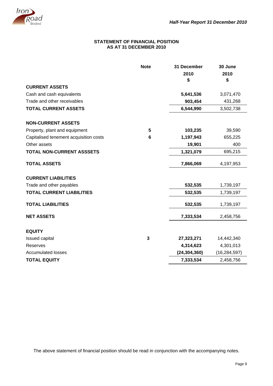

## **STATEMENT OF FINANCIAL POSITION AS AT 31 DECEMBER 2010**

|                                        | <b>Note</b>  | 31 December    | 30 June        |
|----------------------------------------|--------------|----------------|----------------|
|                                        |              | 2010           | 2010           |
|                                        |              | \$             | \$             |
| <b>CURRENT ASSETS</b>                  |              |                |                |
| Cash and cash equivalents              |              | 5,641,536      | 3,071,470      |
| Trade and other receivables            |              | 903,454        | 431,268        |
| <b>TOTAL CURRENT ASSETS</b>            |              | 6,544,990      | 3,502,738      |
| <b>NON-CURRENT ASSETS</b>              |              |                |                |
| Property, plant and equipment          | 5            | 103,235        | 39,590         |
| Capitalised tenement acquisition costs | 6            | 1,197,943      | 655,225        |
| Other assets                           |              | 19,901         | 400            |
| <b>TOTAL NON-CURRENT ASSSETS</b>       |              | 1,321,079      | 695,215        |
| <b>TOTAL ASSETS</b>                    |              | 7,866,069      | 4,197,953      |
| <b>CURRENT LIABILITIES</b>             |              |                |                |
| Trade and other payables               |              | 532,535        | 1,739,197      |
| <b>TOTAL CURRENT LIABILITIES</b>       |              | 532,535        | 1,739,197      |
| <b>TOTAL LIABILITIES</b>               |              | 532,535        | 1,739,197      |
| <b>NET ASSETS</b>                      |              | 7,333,534      | 2,458,756      |
| <b>EQUITY</b>                          |              |                |                |
| Issued capital                         | $\mathbf{3}$ | 27,323,271     | 14,442,340     |
| Reserves                               |              | 4,314,623      | 4,301,013      |
| <b>Accumulated losses</b>              |              | (24, 304, 360) | (16, 284, 597) |
| <b>TOTAL EQUITY</b>                    |              | 7,333,534      | 2,458,756      |

The above statement of financial position should be read in conjunction with the accompanying notes.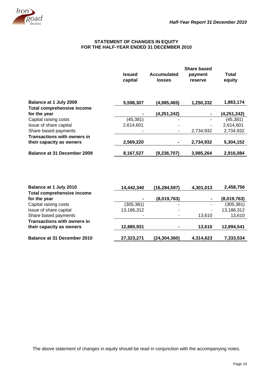

## **STATEMENT OF CHANGES IN EQUITY FOR THE HALF-YEAR ENDED 31 DECEMBER 2010**

|                                    |                          |                              | <b>Share based</b> |                 |
|------------------------------------|--------------------------|------------------------------|--------------------|-----------------|
|                                    | <b>Issued</b><br>capital | Accumulated<br><b>losses</b> | payment<br>reserve | Total<br>equity |
| Balance at 1 July 2009             | 5,598,307                | (4,985,465)                  | 1,250,332          | 1,863,174       |
| <b>Total comprehensive income</b>  |                          |                              |                    |                 |
| for the year                       |                          | (4, 251, 242)                | $\blacksquare$     | (4,251,242)     |
| Capital raising costs              | (45, 381)                | ۰                            |                    | (45, 381)       |
| Issue of share capital             | 2,614,601                | -                            |                    | 2,614,601       |
| Share based payments               |                          |                              | 2,734,932          | 2,734,932       |
| <b>Transactions with owners in</b> |                          |                              |                    |                 |
| their capacity as owners           | 2,569,220                |                              | 2,734,932          | 5,304,152       |
| <b>Balance at 31 December 2009</b> | 8,167,527                | (9, 236, 707)                | 3,985,264          | 2,916,084       |

| Balance at 1 July 2010             | 14,442,340     | (16, 284, 597) | 4,301,013      | 2,458,756   |
|------------------------------------|----------------|----------------|----------------|-------------|
| <b>Total comprehensive income</b>  |                |                |                |             |
| for the year                       | $\blacksquare$ | (8,019,763)    | $\blacksquare$ | (8,019,763) |
| Capital raising costs              | (305, 381)     | ۰              | ۰              | (305, 381)  |
| Issue of share capital             | 13,186,312     |                | ۰              | 13,186,312  |
| Share based payments               | ٠              |                | 13,610         | 13,610      |
| <b>Transactions with owners in</b> |                |                |                |             |
| their capacity as owners           | 12,880,931     |                | 13,610         | 12,894,541  |
| <b>Balance at 31 December 2010</b> | 27,323,271     | (24, 304, 360) | 4,314,623      | 7,333,534   |

The above statement of changes in equity should be read in conjunction with the accompanying notes.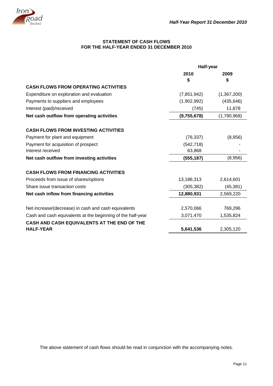

## **STATEMENT OF CASH FLOWS FOR THE HALF-YEAR ENDED 31 DECEMBER 2010**

|                                                             | Half-year   |             |  |
|-------------------------------------------------------------|-------------|-------------|--|
|                                                             | 2010        | 2009        |  |
|                                                             | \$          | S           |  |
| <b>CASH FLOWS FROM OPERATING ACTIVITIES</b>                 |             |             |  |
| Expenditure on exploration and evaluation                   | (7,851,942) | (1,367,200) |  |
| Payments to suppliers and employees                         | (1,902,992) | (435, 646)  |  |
| Interest (paid)/received                                    | (745)       | 11,878      |  |
| Net cash outflow from operating activities                  | (9,755,678) | (1,790,968) |  |
| <b>CASH FLOWS FROM INVESTING ACTIVITIES</b>                 |             |             |  |
| Payment for plant and equipment                             | (76, 337)   | (8,956)     |  |
| Payment for acquisition of prospect                         | (542, 718)  |             |  |
| Interest received                                           | 63,868      |             |  |
| Net cash outflow from investing activities                  | (555, 187)  | (8,956)     |  |
| <b>CASH FLOWS FROM FINANCING ACTIVITIES</b>                 |             |             |  |
| Proceeds from issue of shares/options                       | 13,186,313  | 2,614,601   |  |
| Share issue transaction costs                               | (305, 382)  | (45, 381)   |  |
| Net cash inflow from financing activities                   | 12,880,931  | 2,569,220   |  |
| Net increase/(decrease) in cash and cash equivalents        | 2,570,066   | 769,296     |  |
| Cash and cash equivalents at the beginning of the half-year | 3,071,470   | 1,535,824   |  |
| <b>CASH AND CASH EQUIVALENTS AT THE END OF THE</b>          |             |             |  |
| <b>HALF-YEAR</b>                                            | 5,641,536   | 2,305,120   |  |

The above statement of cash flows should be read in conjunction with the accompanying notes.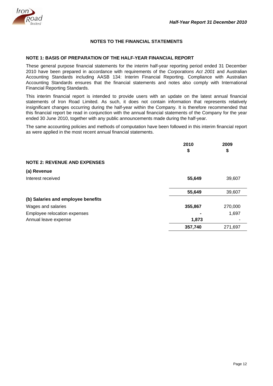

## **NOTES TO THE FINANCIAL STATEMENTS**

## **NOTE 1: BASIS OF PREPARATION OF THE HALF-YEAR FINANCIAL REPORT**

These general purpose financial statements for the interim half-year reporting period ended 31 December 2010 have been prepared in accordance with requirements of the *Corporations Act 2001* and Australian Accounting Standards including AASB 134: Interim Financial Reporting. Compliance with Australian Accounting Standards ensures that the financial statements and notes also comply with International Financial Reporting Standards.

This interim financial report is intended to provide users with an update on the latest annual financial statements of Iron Road Limited. As such, it does not contain information that represents relatively insignificant changes occurring during the half-year within the Company. It is therefore recommended that this financial report be read in conjunction with the annual financial statements of the Company for the year ended 30 June 2010, together with any public announcements made during the half-year.

The same accounting policies and methods of computation have been followed in this interim financial report as were applied in the most recent annual financial statements.

|                                     | 2010<br>\$ | 2009<br>\$ |
|-------------------------------------|------------|------------|
| <b>NOTE 2: REVENUE AND EXPENSES</b> |            |            |
| (a) Revenue                         |            |            |
| Interest received                   | 55,649     | 39,607     |
|                                     | 55,649     | 39,607     |
| (b) Salaries and employee benefits  |            |            |
| Wages and salaries                  | 355,867    | 270,000    |
| Employee relocation expenses        |            | 1,697      |
| Annual leave expense                | 1,873      |            |
|                                     | 357,740    | 271,697    |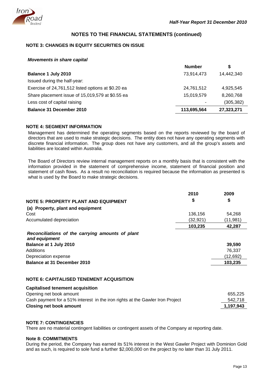

## **NOTES TO THE FINANCIAL STATEMENTS (continued)**

## **NOTE 3: CHANGES IN EQUITY SECURITIES ON ISSUE**

*Movements in share capital* 

|                                                    | <b>Number</b> | S          |
|----------------------------------------------------|---------------|------------|
| Balance 1 July 2010                                | 73,914,473    | 14,442,340 |
| Issued during the half-year:                       |               |            |
| Exercise of 24,761,512 listed options at \$0.20 ea | 24,761,512    | 4,925,545  |
| Share placement issue of 15,019,579 at \$0.55 ea   | 15,019,579    | 8,260,768  |
| Less cost of capital raising                       |               | (305, 382) |
| <b>Balance 31 December 2010</b>                    | 113,695,564   | 27,323,271 |

## **NOTE 4: SEGMENT INFORMATION**

Management has determined the operating segments based on the reports reviewed by the board of directors that are used to make strategic decisions. The entity does not have any operating segments with discrete financial information. The group does not have any customers, and all the group's assets and liabilities are located within Australia.

The Board of Directors review internal management reports on a monthly basis that is consistent with the information provided in the statement of comprehensive income, statement of financial position and statement of cash flows. As a result no reconciliation is required because the information as presented is what is used by the Board to make strategic decisions.

|                                                                   | 2010      | 2009      |
|-------------------------------------------------------------------|-----------|-----------|
| <b>NOTE 5: PROPERTY PLANT AND EQUIPMENT</b>                       | \$        | \$        |
| (a) Property, plant and equipment                                 |           |           |
| Cost                                                              | 136,156   | 54,268    |
| Accumulated depreciation                                          | (32, 921) | (11, 981) |
|                                                                   | 103,235   | 42,287    |
| Reconciliations of the carrying amounts of plant<br>and equipment |           |           |
| Balance at 1 July 2010                                            |           | 39,590    |
| Additions                                                         |           | 76,337    |
| Depreciation expense                                              |           | (12, 692) |
| Balance at 31 December 2010                                       |           | 103,235   |

## **NOTE 6: CAPITALISED TENEMENT ACQUISITION**

| 655.225   |
|-----------|
| 542.718   |
| 1,197,943 |
|           |

#### **NOTE 7: CONTINGENCIES**

**Capitalised tenement acquisition** 

There are no material contingent liabilities or contingent assets of the Company at reporting date.

#### **Note 8: COMMITMENTS**

During the period, the Company has earned its 51% interest in the West Gawler Project with Dominion Gold and as such, is required to sole fund a further \$2,000,000 on the project by no later than 31 July 2011.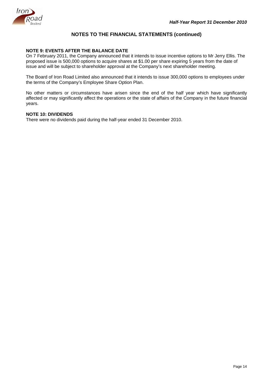

## **NOTES TO THE FINANCIAL STATEMENTS (continued)**

## **NOTE 9: EVENTS AFTER THE BALANCE DATE**

On 7 February 2011, the Company announced that it intends to issue incentive options to Mr Jerry Ellis. The proposed issue is 500,000 options to acquire shares at \$1.00 per share expiring 5 years from the date of issue and will be subject to shareholder approval at the Company's next shareholder meeting.

The Board of Iron Road Limited also announced that it intends to issue 300,000 options to employees under the terms of the Company's Employee Share Option Plan.

No other matters or circumstances have arisen since the end of the half year which have significantly affected or may significantly affect the operations or the state of affairs of the Company in the future financial years.

## **NOTE 10: DIVIDENDS**

There were no dividends paid during the half-year ended 31 December 2010.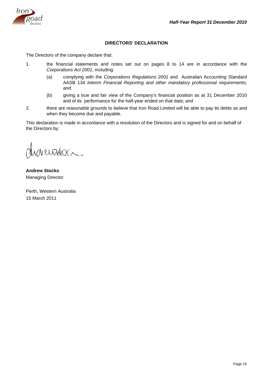

## **DIRECTORS' DECLARATION**

The Directors of the company declare that:

- 1. the financial statements and notes set out on pages 8 to 14 are in accordance with the *Corporations Act 2001*, including:
	- (a) complying with the *Corporations Regulations 2001* and Australian Accounting Standard AASB 134 *Interim Financial Reporting and other mandatory professional requirements; and.*
	- (b) giving a true and fair view of the Company's financial position as at 31 December 2010 and of its performance for the half-year ended on that date; and
- 2. there are reasonable grounds to believe that Iron Road Limited will be able to pay its debts as and when they become due and payable.

This declaration is made in accordance with a resolution of the Directors and is signed for and on behalf of the Directors by:

Werteda

**Andrew Stocks**  Managing Director

Perth, Western Australia 15 March 2011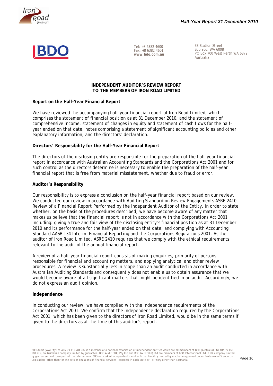



Tel: +8 6382 4600 Fax: +8 6382 4601 **www.bdo.com.au** 

38 Station Street Subiaco, WA 6008 PO Box 700 West Perth WA 6872 Australia

## **INDEPENDENT AUDITOR'S REVIEW REPORT TO THE MEMBERS OF IRON ROAD LIMITED**

## **Report on the Half-Year Financial Report**

We have reviewed the accompanying half-year financial report of Iron Road Limited, which comprises the statement of financial position as at 31 December 2010, and the statement of comprehensive income, statement of changes in equity and statement of cash flows for the halfyear ended on that date, notes comprising a statement of significant accounting policies and other explanatory information, and the directors' declaration.

## **Directors' Responsibility for the Half-Year Financial Report**

The directors of the disclosing entity are responsible for the preparation of the half-year financial report in accordance with Australian Accounting Standards and the *Corporations Act 2001* and for such control as the directors determine is necessary to enable the preparation of the half-year financial report that is free from material misstatement, whether due to fraud or error.

## **Auditor's Responsibility**

Our responsibility is to express a conclusion on the half-year financial report based on our review. We conducted our review in accordance with Auditing Standard on Review Engagements ASRE 2410 *Review of a Financial Report Performed by the Independent Auditor of the Entity*, in order to state whether, on the basis of the procedures described, we have become aware of any matter that makes us believe that the financial report is not in accordance with the *Corporations Act 2001* including: giving a true and fair view of the disclosing entity's financial position as at 31 December 2010 and its performance for the half-year ended on that date; and complying with Accounting Standard AASB 134 *Interim Financial Reporting* and the *Corporations Regulations 2001*. As the auditor of Iron Road Limited, ASRE 2410 requires that we comply with the ethical requirements relevant to the audit of the annual financial report.

A review of a half-year financial report consists of making enquiries, primarily of persons responsible for financial and accounting matters, and applying analytical and other review procedures. A review is substantially less in scope than an audit conducted in accordance with Australian Auditing Standards and consequently does not enable us to obtain assurance that we would become aware of all significant matters that might be identified in an audit. Accordingly, we do not express an audit opinion.

#### **Independence**

In conducting our review, we have complied with the independence requirements of the *Corporations Act 2001*. We confirm that the independence declaration required by the *Corporations Act 2001,* which has been given to the directors of Iron Road Limited, would be in the same terms if given to the directors as at the time of this auditor's report.

Legislation (other than for the acts or omissions of financial services licensees) in each State or Territory other than Tasmania.<br>Legislation (other than for the acts or omissions of financial services licensees) in each BDO Audit (WA) Pty Ltd ABN 79 112 284 787 is a member of a national association of independent entities which are all members of BDO (Australia) Ltd ABN 77 050 110 275, an Australian company limited by guarantee. BDO Audit (WA) Pty Ltd and BDO (Australia) Ltd are members of BDO International Ltd, a UK company limited<br>by guarantee, and form part of the international BDO network of